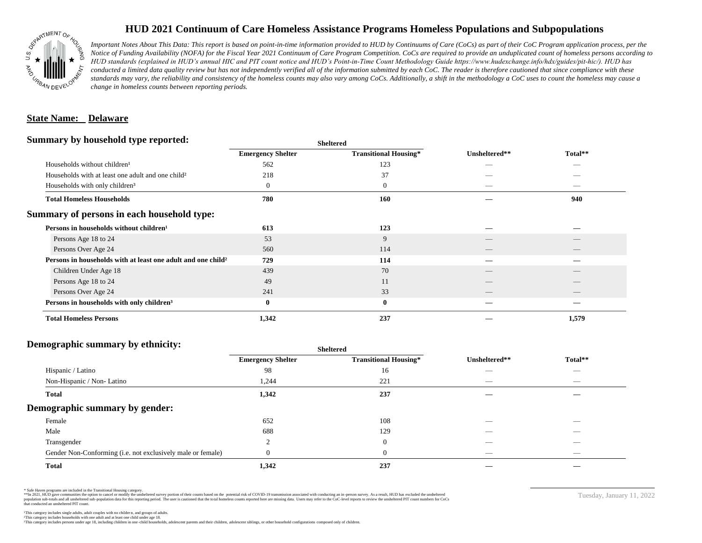

## **HUD 2021 Continuum of Care Homeless Assistance Programs Homeless Populations and Subpopulations**

*Important Notes About This Data: This report is based on point-in-time information provided to HUD by Continuums of Care (CoCs) as part of their CoC Program application process, per the Notice of Funding Availability (NOFA) for the Fiscal Year 2021 Continuum of Care Program Competition. CoCs are required to provide an unduplicated count of homeless persons according to HUD standards (explained in HUD's annual HIC and PIT count notice and HUD's Point-in-Time Count Methodology Guide https://www.hudexchange.info/hdx/guides/pit-hic/). HUD has*  conducted a limited data quality review but has not independently verified all of the information submitted by each CoC. The reader is therefore cautioned that since compliance with these standards may vary, the reliability and consistency of the homeless counts may also vary among CoCs. Additionally, a shift in the methodology a CoC uses to count the homeless may cause a *change in homeless counts between reporting periods.*

#### **State Name: Delaware**

#### **Summary by household type reported:**

| . .                                                                      |                          | энскегси                     |               |         |  |
|--------------------------------------------------------------------------|--------------------------|------------------------------|---------------|---------|--|
|                                                                          | <b>Emergency Shelter</b> | <b>Transitional Housing*</b> | Unsheltered** | Total** |  |
| Households without children <sup>1</sup>                                 | 562                      | 123                          |               | _       |  |
| Households with at least one adult and one child <sup>2</sup>            | 218                      | 37                           |               |         |  |
| Households with only children <sup>3</sup>                               | 0                        | $\boldsymbol{0}$             | _             |         |  |
| <b>Total Homeless Households</b>                                         | 780                      | 160                          |               | 940     |  |
| Summary of persons in each household type:                               |                          |                              |               |         |  |
| Persons in households without children <sup>1</sup>                      | 613                      | 123                          |               |         |  |
| Persons Age 18 to 24                                                     | 53                       | 9                            |               |         |  |
| Persons Over Age 24                                                      | 560                      | 114                          | __            | __      |  |
| Persons in households with at least one adult and one child <sup>2</sup> | 729                      | 114                          |               |         |  |
| Children Under Age 18                                                    | 439                      | 70                           |               |         |  |
| Persons Age 18 to 24                                                     | 49                       | 11                           |               |         |  |
| Persons Over Age 24                                                      | 241                      | 33                           |               |         |  |
| Persons in households with only children <sup>3</sup>                    | $\bf{0}$                 | $\bf{0}$                     |               |         |  |
| <b>Total Homeless Persons</b>                                            | 1,342                    | 237                          |               | 1,579   |  |
|                                                                          |                          |                              |               |         |  |

**Sheltered**

## **Demographic summary by ethnicity:**

| ັ<br>. .<br>$\bullet$<br>. .<br>$\ddot{\phantom{1}}$        | Sneitered                |                              |                                 |                                |
|-------------------------------------------------------------|--------------------------|------------------------------|---------------------------------|--------------------------------|
|                                                             | <b>Emergency Shelter</b> | <b>Transitional Housing*</b> | Unsheltered**                   | Total**                        |
| Hispanic / Latino                                           | 98                       | 16                           | _                               | $\overbrace{\hspace{25mm}}^{}$ |
| Non-Hispanic / Non-Latino                                   | 1,244                    | 221                          | $\hspace{0.05cm}$               | $\overbrace{\hspace{25mm}}^{}$ |
| <b>Total</b>                                                | 1,342                    | 237                          |                                 |                                |
| Demographic summary by gender:                              |                          |                              |                                 |                                |
| Female                                                      | 652                      | 108                          | ___                             | $\sim$                         |
| Male                                                        | 688                      | 129                          | ___                             | $\overline{\phantom{a}}$       |
| Transgender                                                 |                          | $\overline{0}$               | __                              | $\sim$                         |
| Gender Non-Conforming (i.e. not exclusively male or female) |                          | $\overline{0}$               | $\hspace{0.1mm}-\hspace{0.1mm}$ | $\overbrace{\hspace{25mm}}^{}$ |
| <b>Total</b>                                                | 1,342                    | 237                          |                                 |                                |

**Sheltered**

\* Safe Haven programs are included in the Transitional Housing category.

\*\*In 2021, HUD gave communities the option to cancel or modify the unsheltered survey portion of their counts based on the potential risk of COVID-19 transmission associated with conducting an in-person survey. As a result n political data for this reporting period. The user is cautioned that the total homeless counts reported here are missing data. Users may refer to the CoC-level reports to review the unshellered PIT count numbers for CoCs that conducted an unsheltered PIT count.

Tuesday, January 11, 2022